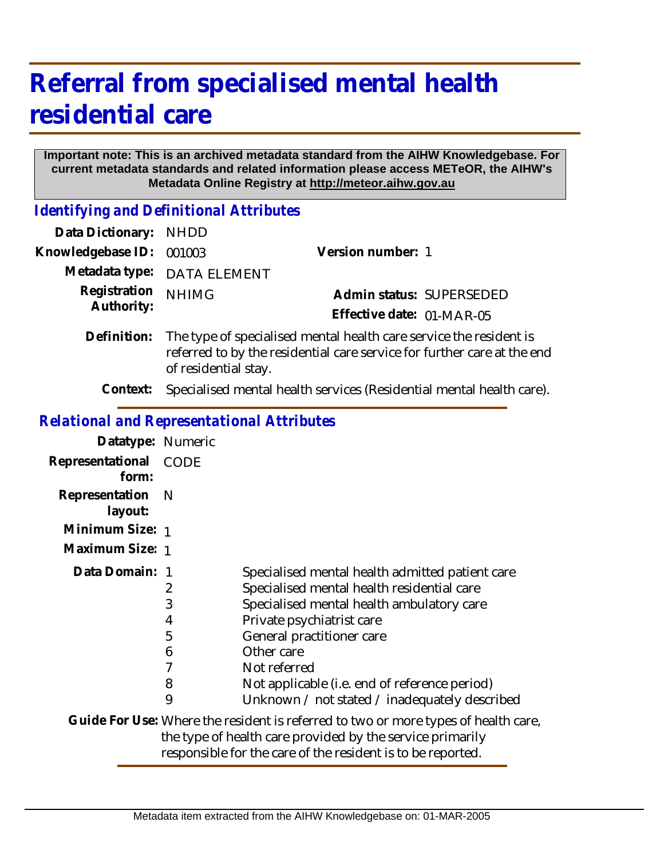# **Referral from specialised mental health residential care**

#### **Important note: This is an archived metadata standard from the AIHW Knowledgebase. For current metadata standards and related information please access METeOR, the AIHW's Metadata Online Registry at http://meteor.aihw.gov.au**

*Identifying and Definitional Attributes*

| Data Dictionary: NHDD      |                                                                                                                                                                       |                           |  |
|----------------------------|-----------------------------------------------------------------------------------------------------------------------------------------------------------------------|---------------------------|--|
| Knowledgebase ID:          | 001003                                                                                                                                                                | Version number: 1         |  |
|                            | Metadata type: DATA ELEMENT                                                                                                                                           |                           |  |
| Registration<br>Authority: | <b>NHIMG</b>                                                                                                                                                          | Admin status: SUPERSEDED  |  |
|                            |                                                                                                                                                                       | Effective date: 01-MAR-05 |  |
| Definition:                | The type of specialised mental health care service the resident is<br>referred to by the residential care service for further care at the end<br>of residential stay. |                           |  |
| Context:                   | Specialised mental health services (Residential mental health care).                                                                                                  |                           |  |

## *Relational and Representational Attributes*

| clational and Kephesentational Attributes |                                 |                                                                                                                                                                                                                                                                                                                                      |
|-------------------------------------------|---------------------------------|--------------------------------------------------------------------------------------------------------------------------------------------------------------------------------------------------------------------------------------------------------------------------------------------------------------------------------------|
| Datatype: Numeric                         |                                 |                                                                                                                                                                                                                                                                                                                                      |
| Representational<br>form:                 | <b>CODE</b>                     |                                                                                                                                                                                                                                                                                                                                      |
| Representation<br>layout:                 | N                               |                                                                                                                                                                                                                                                                                                                                      |
| Minimum Size: 1                           |                                 |                                                                                                                                                                                                                                                                                                                                      |
| Maximum Size: 1                           |                                 |                                                                                                                                                                                                                                                                                                                                      |
| Data Domain: 1                            | 2<br>3<br>4<br>5<br>6<br>8<br>9 | Specialised mental health admitted patient care<br>Specialised mental health residential care<br>Specialised mental health ambulatory care<br>Private psychiatrist care<br>General practitioner care<br>Other care<br>Not referred<br>Not applicable (i.e. end of reference period)<br>Unknown / not stated / inadequately described |
|                                           |                                 | Guide For Use: Where the resident is referred to two or more types of health care,<br>the type of health care provided by the service primarily                                                                                                                                                                                      |

responsible for the care of the resident is to be reported.